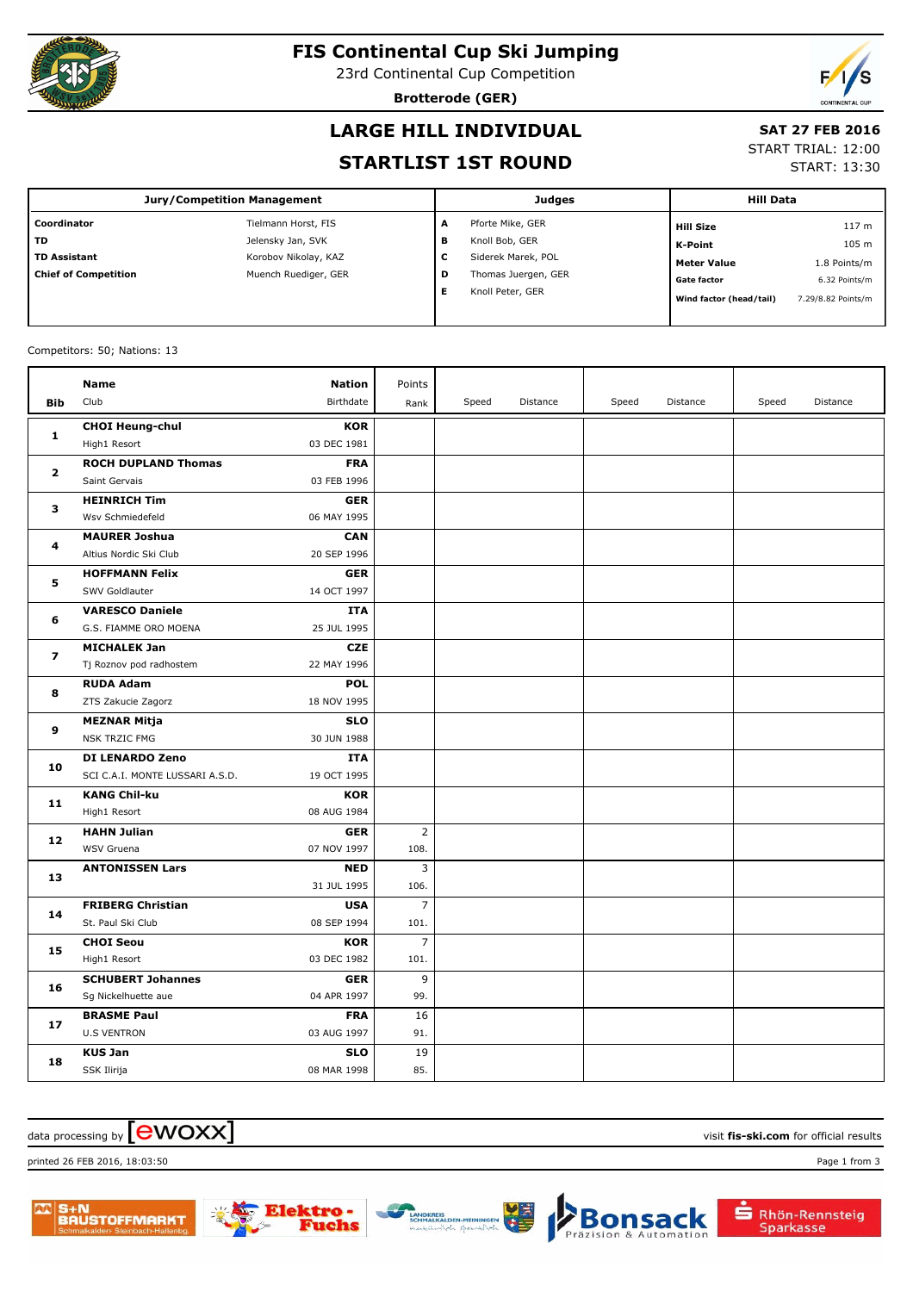

# **FIS Continental Cup Ski Jumping**

23rd Continental Cup Competition

**Brotterode (GER)**



# **LARGE HILL INDIVIDUAL**

#### **SAT 27 FEB 2016**

#### **STARTLIST 1ST ROUND**

START TRIAL: 12:00

START: 13:30

| Jury/Competition Management |                      |   | <b>Judges</b>       |                         | <b>Hill Data</b>   |  |
|-----------------------------|----------------------|---|---------------------|-------------------------|--------------------|--|
| Coordinator                 | Tielmann Horst, FIS  | A | Pforte Mike, GER    | <b>Hill Size</b>        | 117 <sub>m</sub>   |  |
| <b>TD</b>                   | Jelensky Jan, SVK    | в | Knoll Bob, GER      | K-Point                 | 105 m              |  |
| <b>TD Assistant</b>         | Korobov Nikolay, KAZ | С | Siderek Marek, POL  | <b>Meter Value</b>      | 1.8 Points/m       |  |
| <b>Chief of Competition</b> | Muench Ruediger, GER | D | Thomas Juergen, GER | <b>Gate factor</b>      | 6.32 Points/m      |  |
|                             |                      | Е | Knoll Peter, GER    | Wind factor (head/tail) | 7.29/8.82 Points/m |  |

#### Competitors: 50; Nations: 13

|              | <b>Name</b><br><b>Nation</b>                   | Points         |       |          |       |          |       |          |
|--------------|------------------------------------------------|----------------|-------|----------|-------|----------|-------|----------|
| Bib          | Club<br>Birthdate                              | Rank           | Speed | Distance | Speed | Distance | Speed | Distance |
| 1            | <b>CHOI Heung-chul</b><br><b>KOR</b>           |                |       |          |       |          |       |          |
|              | 03 DEC 1981<br>High1 Resort                    |                |       |          |       |          |       |          |
| $\mathbf{z}$ | <b>ROCH DUPLAND Thomas</b><br><b>FRA</b>       |                |       |          |       |          |       |          |
|              | Saint Gervais<br>03 FEB 1996                   |                |       |          |       |          |       |          |
| з            | <b>HEINRICH Tim</b><br><b>GER</b>              |                |       |          |       |          |       |          |
|              | 06 MAY 1995<br>Wsv Schmiedefeld                |                |       |          |       |          |       |          |
| 4            | <b>MAURER Joshua</b><br><b>CAN</b>             |                |       |          |       |          |       |          |
|              | Altius Nordic Ski Club<br>20 SEP 1996          |                |       |          |       |          |       |          |
| 5            | <b>HOFFMANN Felix</b><br><b>GER</b>            |                |       |          |       |          |       |          |
|              | SWV Goldlauter<br>14 OCT 1997                  |                |       |          |       |          |       |          |
| 6            | <b>VARESCO Daniele</b><br><b>ITA</b>           |                |       |          |       |          |       |          |
|              | G.S. FIAMME ORO MOENA<br>25 JUL 1995           |                |       |          |       |          |       |          |
| 7            | <b>CZE</b><br><b>MICHALEK Jan</b>              |                |       |          |       |          |       |          |
|              | Tj Roznov pod radhostem<br>22 MAY 1996         |                |       |          |       |          |       |          |
| 8            | <b>POL</b><br><b>RUDA Adam</b>                 |                |       |          |       |          |       |          |
|              | ZTS Zakucie Zagorz<br>18 NOV 1995              |                |       |          |       |          |       |          |
| 9            | <b>SLO</b><br><b>MEZNAR Mitja</b>              |                |       |          |       |          |       |          |
|              | <b>NSK TRZIC FMG</b><br>30 JUN 1988            |                |       |          |       |          |       |          |
| 10           | DI LENARDO Zeno<br><b>ITA</b>                  |                |       |          |       |          |       |          |
|              | SCI C.A.I. MONTE LUSSARI A.S.D.<br>19 OCT 1995 |                |       |          |       |          |       |          |
| 11           | <b>KOR</b><br><b>KANG Chil-ku</b>              |                |       |          |       |          |       |          |
|              | High1 Resort<br>08 AUG 1984                    |                |       |          |       |          |       |          |
| 12           | <b>HAHN Julian</b><br><b>GER</b>               | $\overline{2}$ |       |          |       |          |       |          |
|              | WSV Gruena<br>07 NOV 1997                      | 108.           |       |          |       |          |       |          |
| 13           | <b>ANTONISSEN Lars</b><br><b>NED</b>           | 3              |       |          |       |          |       |          |
|              | 31 JUL 1995                                    | 106.           |       |          |       |          |       |          |
| 14           | <b>FRIBERG Christian</b><br><b>USA</b>         | $\overline{7}$ |       |          |       |          |       |          |
|              | St. Paul Ski Club<br>08 SEP 1994               | 101.           |       |          |       |          |       |          |
| 15           | <b>CHOI Seou</b><br><b>KOR</b>                 | $\overline{7}$ |       |          |       |          |       |          |
|              | 03 DEC 1982<br>High1 Resort                    | 101.           |       |          |       |          |       |          |
| 16           | <b>SCHUBERT Johannes</b><br><b>GER</b>         | 9              |       |          |       |          |       |          |
|              | 04 APR 1997<br>Sg Nickelhuette aue             | 99.            |       |          |       |          |       |          |
| 17           | <b>BRASME Paul</b><br><b>FRA</b>               | 16             |       |          |       |          |       |          |
|              | <b>U.S VENTRON</b><br>03 AUG 1997              | 91.            |       |          |       |          |       |          |
| 18           | <b>KUS Jan</b><br><b>SLO</b>                   | 19             |       |          |       |          |       |          |
|              | 08 MAR 1998<br>SSK Ilirija                     | 85.            |       |          |       |          |       |          |

#### $\alpha$  data processing by  $\boxed{\text{ewOX}}$

printed 26 FEB 2016, 18:03:50 Page 1 from 3





che

**Bonsack** 

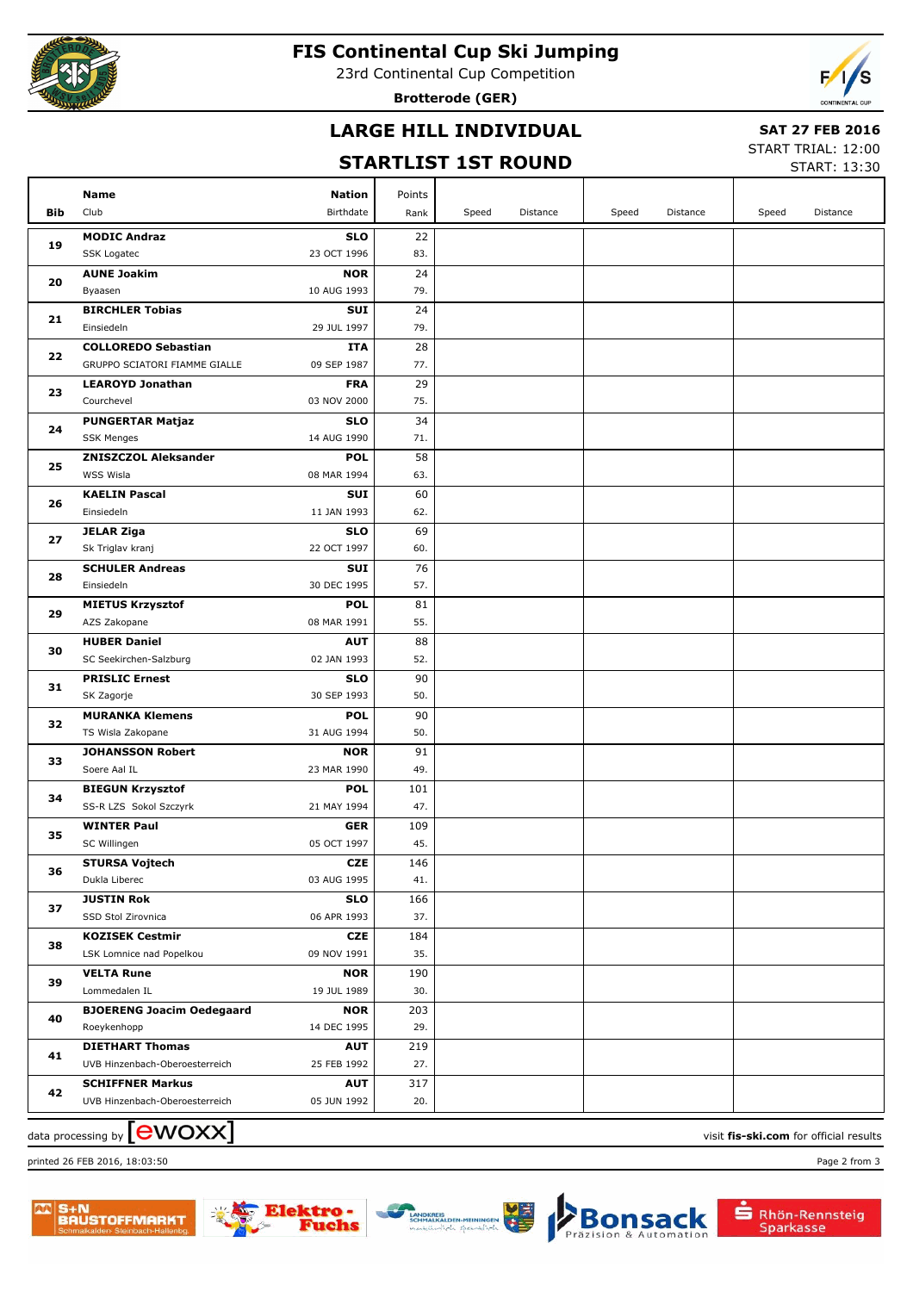

#### **FIS Continental Cup Ski Jumping**

23rd Continental Cup Competition

**Brotterode (GER)**



# **LARGE HILL INDIVIDUAL**

#### **SAT 27 FEB 2016**

# **STARTLIST 1ST ROUND**

START TRIAL: 12:00  $5TAPT$ 

|            |                                         |                           |            |       |          |       |          |       | <b>SIARI: 13:30</b> |
|------------|-----------------------------------------|---------------------------|------------|-------|----------|-------|----------|-------|---------------------|
|            | Name                                    | <b>Nation</b>             | Points     |       |          |       |          |       |                     |
| <b>Bib</b> | Club                                    | Birthdate                 | Rank       | Speed | Distance | Speed | Distance | Speed | Distance            |
|            | <b>MODIC Andraz</b>                     | <b>SLO</b>                | 22         |       |          |       |          |       |                     |
| 19         | SSK Logatec                             | 23 OCT 1996               | 83.        |       |          |       |          |       |                     |
|            | <b>AUNE Joakim</b>                      | <b>NOR</b>                | 24         |       |          |       |          |       |                     |
| 20         | Byaasen                                 | 10 AUG 1993               | 79.        |       |          |       |          |       |                     |
|            | <b>BIRCHLER Tobias</b>                  | <b>SUI</b>                | 24         |       |          |       |          |       |                     |
| 21         | Einsiedeln                              | 29 JUL 1997               | 79.        |       |          |       |          |       |                     |
|            | <b>COLLOREDO Sebastian</b>              | ITA                       | 28         |       |          |       |          |       |                     |
| 22         | GRUPPO SCIATORI FIAMME GIALLE           | 09 SEP 1987               | 77.        |       |          |       |          |       |                     |
|            | <b>LEAROYD Jonathan</b>                 | <b>FRA</b>                | 29         |       |          |       |          |       |                     |
| 23         | Courchevel                              | 03 NOV 2000               | 75.        |       |          |       |          |       |                     |
|            | <b>PUNGERTAR Matjaz</b>                 | <b>SLO</b>                | 34         |       |          |       |          |       |                     |
| 24         | <b>SSK Menges</b>                       | 14 AUG 1990               | 71.        |       |          |       |          |       |                     |
|            | <b>ZNISZCZOL Aleksander</b>             | <b>POL</b>                | 58         |       |          |       |          |       |                     |
| 25         | WSS Wisla                               | 08 MAR 1994               | 63.        |       |          |       |          |       |                     |
|            | <b>KAELIN Pascal</b>                    | <b>SUI</b>                | 60         |       |          |       |          |       |                     |
| 26         | Einsiedeln                              | 11 JAN 1993               | 62.        |       |          |       |          |       |                     |
|            | <b>JELAR Ziga</b>                       | <b>SLO</b>                | 69         |       |          |       |          |       |                     |
| 27         | Sk Triglav kranj                        | 22 OCT 1997               | 60.        |       |          |       |          |       |                     |
| 28         | <b>SCHULER Andreas</b>                  | <b>SUI</b>                | 76         |       |          |       |          |       |                     |
|            | Einsiedeln                              | 30 DEC 1995               | 57.        |       |          |       |          |       |                     |
| 29         | <b>MIETUS Krzysztof</b>                 | <b>POL</b>                | 81         |       |          |       |          |       |                     |
|            | AZS Zakopane                            | 08 MAR 1991               | 55.        |       |          |       |          |       |                     |
| 30         | <b>HUBER Daniel</b>                     | <b>AUT</b>                | 88         |       |          |       |          |       |                     |
|            | SC Seekirchen-Salzburg                  | 02 JAN 1993               | 52.        |       |          |       |          |       |                     |
| 31         | <b>PRISLIC Ernest</b>                   | <b>SLO</b>                | 90         |       |          |       |          |       |                     |
|            | SK Zagorje                              | 30 SEP 1993               | 50.        |       |          |       |          |       |                     |
| 32         | <b>MURANKA Klemens</b>                  | <b>POL</b>                | 90         |       |          |       |          |       |                     |
|            | TS Wisla Zakopane                       | 31 AUG 1994               | 50.        |       |          |       |          |       |                     |
| 33         | <b>JOHANSSON Robert</b>                 | <b>NOR</b>                | 91         |       |          |       |          |       |                     |
|            | Soere Aal IL<br><b>BIEGUN Krzysztof</b> | 23 MAR 1990               | 49.        |       |          |       |          |       |                     |
| 34         | SS-R LZS Sokol Szczyrk                  | <b>POL</b><br>21 MAY 1994 | 101<br>47. |       |          |       |          |       |                     |
|            | <b>WINTER Paul</b>                      | GER                       | 109        |       |          |       |          |       |                     |
| 35         | SC Willingen                            | 05 OCT 1997               | 45.        |       |          |       |          |       |                     |
|            | <b>STURSA Vojtech</b>                   | <b>CZE</b>                | 146        |       |          |       |          |       |                     |
| 36         | Dukla Liberec                           | 03 AUG 1995               | 41.        |       |          |       |          |       |                     |
|            | <b>JUSTIN Rok</b>                       | <b>SLO</b>                | 166        |       |          |       |          |       |                     |
| 37         | SSD Stol Zirovnica                      | 06 APR 1993               | 37.        |       |          |       |          |       |                     |
|            | <b>KOZISEK Cestmir</b>                  | <b>CZE</b>                | 184        |       |          |       |          |       |                     |
| 38         | LSK Lomnice nad Popelkou                | 09 NOV 1991               | 35.        |       |          |       |          |       |                     |
|            | <b>VELTA Rune</b>                       | <b>NOR</b>                | 190        |       |          |       |          |       |                     |
| 39         | Lommedalen IL                           | 19 JUL 1989               | 30.        |       |          |       |          |       |                     |
|            | <b>BJOERENG Joacim Oedegaard</b>        | <b>NOR</b>                | 203        |       |          |       |          |       |                     |
| 40         | Roeykenhopp                             | 14 DEC 1995               | 29.        |       |          |       |          |       |                     |
| 41         | <b>DIETHART Thomas</b>                  | <b>AUT</b>                | 219        |       |          |       |          |       |                     |
|            | UVB Hinzenbach-Oberoesterreich          | 25 FEB 1992               | 27.        |       |          |       |          |       |                     |
| 42         | <b>SCHIFFNER Markus</b>                 | <b>AUT</b>                | 317        |       |          |       |          |       |                     |
|            | UVB Hinzenbach-Oberoesterreich          | 05 JUN 1992               | 20.        |       |          |       |          |       |                     |
|            |                                         |                           |            |       |          |       |          |       |                     |

data processing by **CWOXX** and  $\overline{C}$  and  $\overline{C}$  and  $\overline{C}$  and  $\overline{C}$  and  $\overline{C}$  and  $\overline{C}$  and  $\overline{C}$  and  $\overline{C}$  and  $\overline{C}$  and  $\overline{C}$  and  $\overline{C}$  and  $\overline{C}$  and  $\overline{C}$  and  $\overline{C}$  and  $\overline{C}$ 

printed 26 FEB 2016, 18:03:50 Page 2 from 3